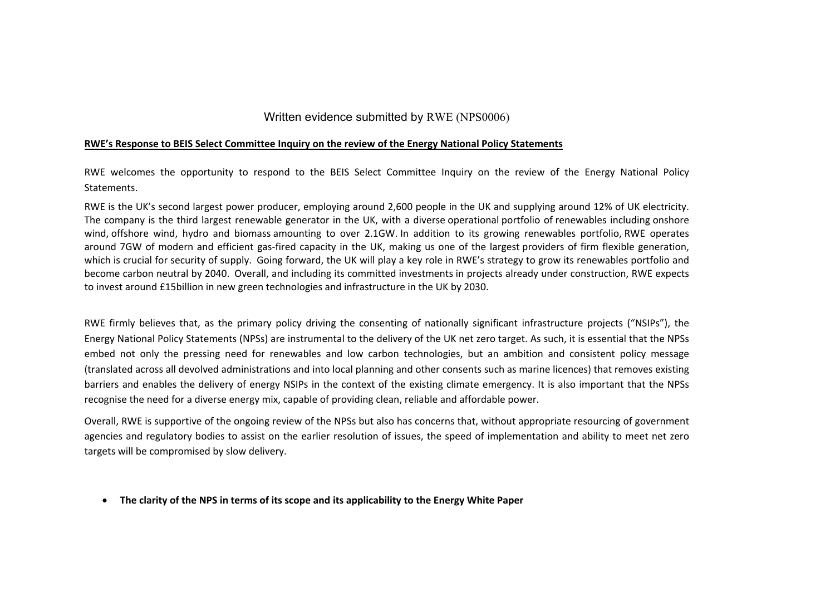## Written evidence submitted by RWE (NPS0006)

#### **RWE's Response to BEIS Select Committee Inquiry on the review of the Energy National Policy Statements**

RWE welcomes the opportunity to respond to the BEIS Select Committee Inquiry on the review of the Energy National Policy Statements.

RWE is the UK's second largest power producer, employing around 2,600 people in the UK and supplying around 12% of UK electricity. The company is the third largest renewable generator in the UK, with a diverse operational portfolio of renewables including onshore wind, offshore wind, hydro and biomass amounting to over 2.1GW. In addition to its growing renewables portfolio, RWE operates around 7GW of modern and efficient gas-fired capacity in the UK, making us one of the largest providers of firm flexible generation, which is crucial for security of supply. Going forward, the UK will play a key role in RWE's strategy to grow its renewables portfolio and become carbon neutral by 2040. Overall, and including its committed investments in projects already under construction, RWE expects to invest around £15billion in new green technologies and infrastructure in the UK by 2030.

RWE firmly believes that, as the primary policy driving the consenting of nationally significant infrastructure projects ("NSIPs"), the Energy National Policy Statements (NPSs) are instrumental to the delivery of the UK net zero target. As such, it is essential that the NPSs embed not only the pressing need for renewables and low carbon technologies, but an ambition and consistent policy message (translated across all devolved administrations and into local planning and other consents such as marine licences) that removes existing barriers and enables the delivery of energy NSIPs in the context of the existing climate emergency. It is also important that the NPSs recognise the need for a diverse energy mix, capable of providing clean, reliable and affordable power.

Overall, RWE is supportive of the ongoing review of the NPSs but also has concerns that, without appropriate resourcing of government agencies and regulatory bodies to assist on the earlier resolution of issues, the speed of implementation and ability to meet net zero targets will be compromised by slow delivery.

**The clarity of the NPS in terms of its scope and its applicability to the Energy White Paper**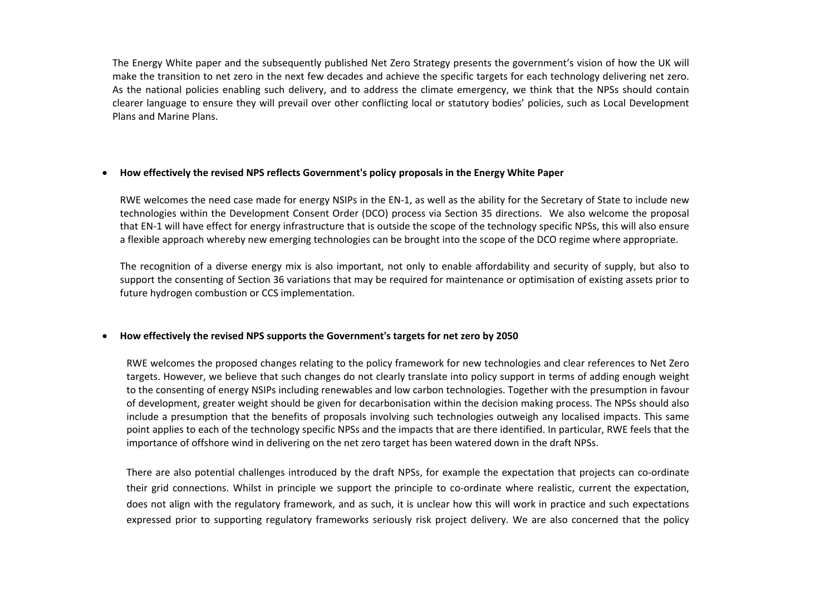The Energy White paper and the subsequently published Net Zero Strategy presents the government's vision of how the UK will make the transition to net zero in the next few decades and achieve the specific targets for each technology delivering net zero. As the national policies enabling such delivery, and to address the climate emergency, we think that the NPSs should contain clearer language to ensure they will prevail over other conflicting local or statutory bodies' policies, such as Local Development Plans and Marine Plans.

### **How effectively the revised NPS reflects Government's policy proposals in the Energy White Paper**

RWE welcomes the need case made for energy NSIPs in the EN-1, as well as the ability for the Secretary of State to include new technologies within the Development Consent Order (DCO) process via Section 35 directions. We also welcome the proposal that EN-1 will have effect for energy infrastructure that is outside the scope of the technology specific NPSs, this will also ensure a flexible approach whereby new emerging technologies can be brought into the scope of the DCO regime where appropriate.

The recognition of a diverse energy mix is also important, not only to enable affordability and security of supply, but also to support the consenting of Section 36 variations that may be required for maintenance or optimisation of existing assets prior to future hydrogen combustion or CCS implementation.

## **How effectively the revised NPS supports the Government's targets for net zero by 2050**

RWE welcomes the proposed changes relating to the policy framework for new technologies and clear references to Net Zero targets. However, we believe that such changes do not clearly translate into policy support in terms of adding enough weight to the consenting of energy NSIPs including renewables and low carbon technologies. Together with the presumption in favour of development, greater weight should be given for decarbonisation within the decision making process. The NPSs should also include a presumption that the benefits of proposals involving such technologies outweigh any localised impacts. This same point applies to each of the technology specific NPSs and the impacts that are there identified. In particular, RWE feels that the importance of offshore wind in delivering on the net zero target has been watered down in the draft NPSs.

There are also potential challenges introduced by the draft NPSs, for example the expectation that projects can co-ordinate their grid connections. Whilst in principle we support the principle to co-ordinate where realistic, current the expectation, does not align with the regulatory framework, and as such, it is unclear how this will work in practice and such expectations expressed prior to supporting regulatory frameworks seriously risk project delivery. We are also concerned that the policy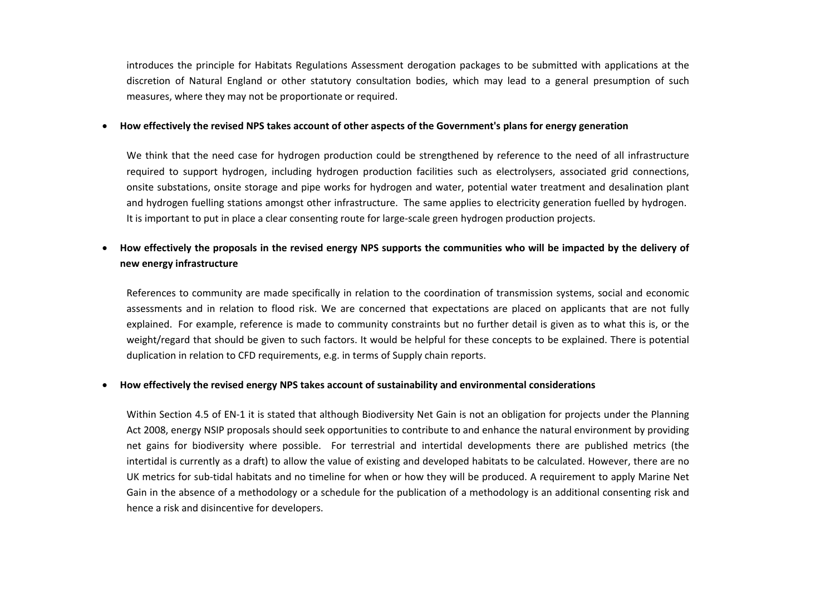introduces the principle for Habitats Regulations Assessment derogation packages to be submitted with applications at the discretion of Natural England or other statutory consultation bodies, which may lead to a general presumption of such measures, where they may not be proportionate or required.

#### How effectively the revised NPS takes account of other aspects of the Government's plans for energy generation

We think that the need case for hydrogen production could be strengthened by reference to the need of all infrastructure required to support hydrogen, including hydrogen production facilities such as electrolysers, associated grid connections, onsite substations, onsite storage and pipe works for hydrogen and water, potential water treatment and desalination plant and hydrogen fuelling stations amongst other infrastructure. The same applies to electricity generation fuelled by hydrogen. It is important to put in place a clear consenting route for large-scale green hydrogen production projects.

# How effectively the proposals in the revised energy NPS supports the communities who will be impacted by the delivery of **new energy infrastructure**

References to community are made specifically in relation to the coordination of transmission systems, social and economic assessments and in relation to flood risk. We are concerned that expectations are placed on applicants that are not fully explained. For example, reference is made to community constraints but no further detail is given as to what this is, or the weight/regard that should be given to such factors. It would be helpful for these concepts to be explained. There is potential duplication in relation to CFD requirements, e.g. in terms of Supply chain reports.

#### **How effectively the revised energy NPS takes account of sustainability and environmental considerations**

Within Section 4.5 of EN-1 it is stated that although Biodiversity Net Gain is not an obligation for projects under the Planning Act 2008, energy NSIP proposals should seek opportunities to contribute to and enhance the natural environment by providing net gains for biodiversity where possible. For terrestrial and intertidal developments there are published metrics (the intertidal is currently as a draft) to allow the value of existing and developed habitats to be calculated. However, there are no UK metrics for sub-tidal habitats and no timeline for when or how they will be produced. A requirement to apply Marine Net Gain in the absence of a methodology or a schedule for the publication of a methodology is an additional consenting risk and hence a risk and disincentive for developers.